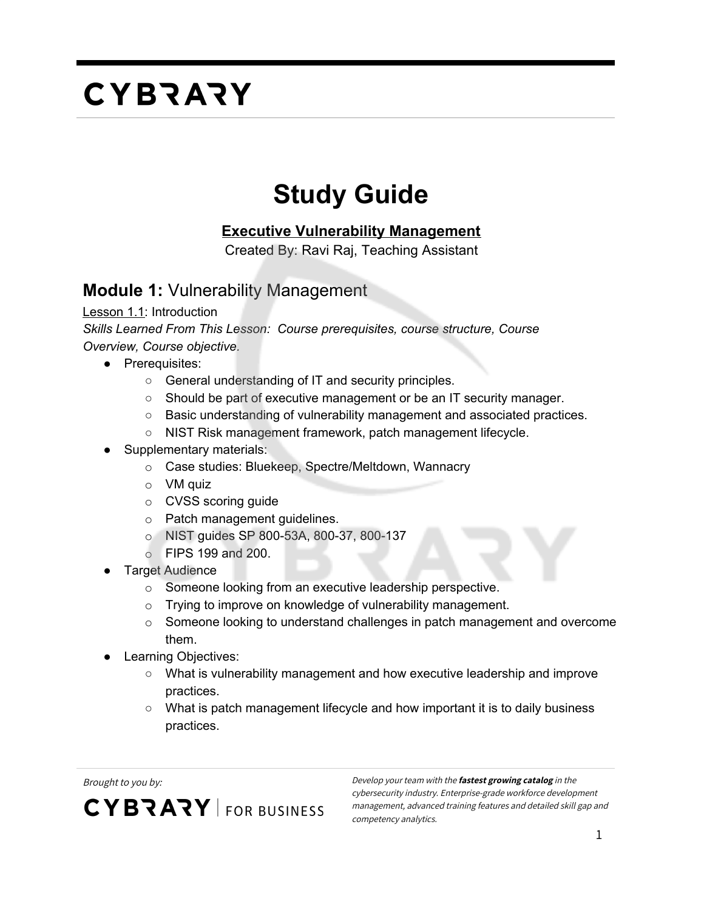#### **Study Guide**

#### **Executive Vulnerability Management**

Created By: Ravi Raj, Teaching Assistant

#### **Module 1:** Vulnerability Management

Lesson 1.1: Introduction

*Skills Learned From This Lesson: Course prerequisites, course structure, Course Overview, Course objective.*

- Prerequisites:
	- General understanding of IT and security principles.
	- Should be part of executive management or be an IT security manager.
	- Basic understanding of vulnerability management and associated practices.
	- NIST Risk management framework, patch management lifecycle.
- Supplementary materials:
	- o Case studies: Bluekeep, Spectre/Meltdown, Wannacry
	- $\circ$  VM quiz
	- o CVSS scoring guide
	- o Patch management guidelines.
	- o NIST guides SP 800-53A, 800-37, 800-137
	- o FIPS 199 and 200.
- **Target Audience** 
	- o Someone looking from an executive leadership perspective.
	- o Trying to improve on knowledge of vulnerability management.
	- $\circ$  Someone looking to understand challenges in patch management and overcome them.
- **Learning Objectives:** 
	- What is vulnerability management and how executive leadership and improve practices.
	- What is patch management lifecycle and how important it is to daily business practices.

**CYBRARY** FOR BUSINESS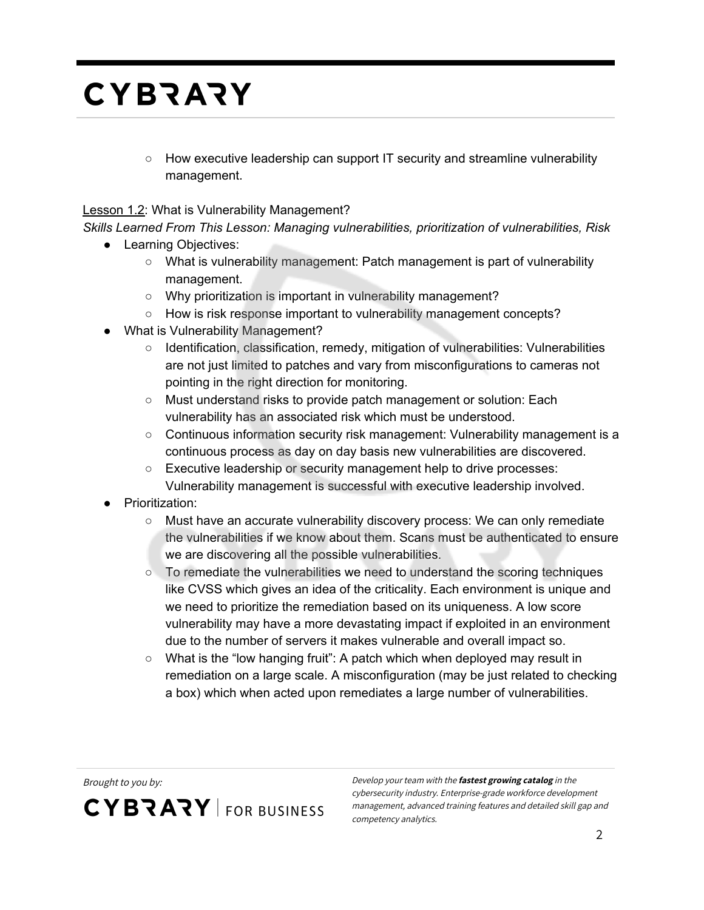$\circ$  How executive leadership can support IT security and streamline vulnerability management.

#### Lesson 1.2: What is Vulnerability Management?

*Skills Learned From This Lesson: Managing vulnerabilities, prioritization of vulnerabilities, Risk*

- Learning Objectives:
	- What is vulnerability management: Patch management is part of vulnerability management.
	- Why prioritization is important in vulnerability management?
	- How is risk response important to vulnerability management concepts?
- What is Vulnerability Management?
	- Identification, classification, remedy, mitigation of vulnerabilities: Vulnerabilities are not just limited to patches and vary from misconfigurations to cameras not pointing in the right direction for monitoring.
	- Must understand risks to provide patch management or solution: Each vulnerability has an associated risk which must be understood.
	- Continuous information security risk management: Vulnerability management is a continuous process as day on day basis new vulnerabilities are discovered.
	- Executive leadership or security management help to drive processes: Vulnerability management is successful with executive leadership involved.
- **Prioritization:** 
	- Must have an accurate vulnerability discovery process: We can only remediate the vulnerabilities if we know about them. Scans must be authenticated to ensure we are discovering all the possible vulnerabilities.
	- To remediate the vulnerabilities we need to understand the scoring techniques like CVSS which gives an idea of the criticality. Each environment is unique and we need to prioritize the remediation based on its uniqueness. A low score vulnerability may have a more devastating impact if exploited in an environment due to the number of servers it makes vulnerable and overall impact so.
	- $\circ$  What is the "low hanging fruit": A patch which when deployed may result in remediation on a large scale. A misconfiguration (may be just related to checking a box) which when acted upon remediates a large number of vulnerabilities.

**CYBRARY** FOR BUSINESS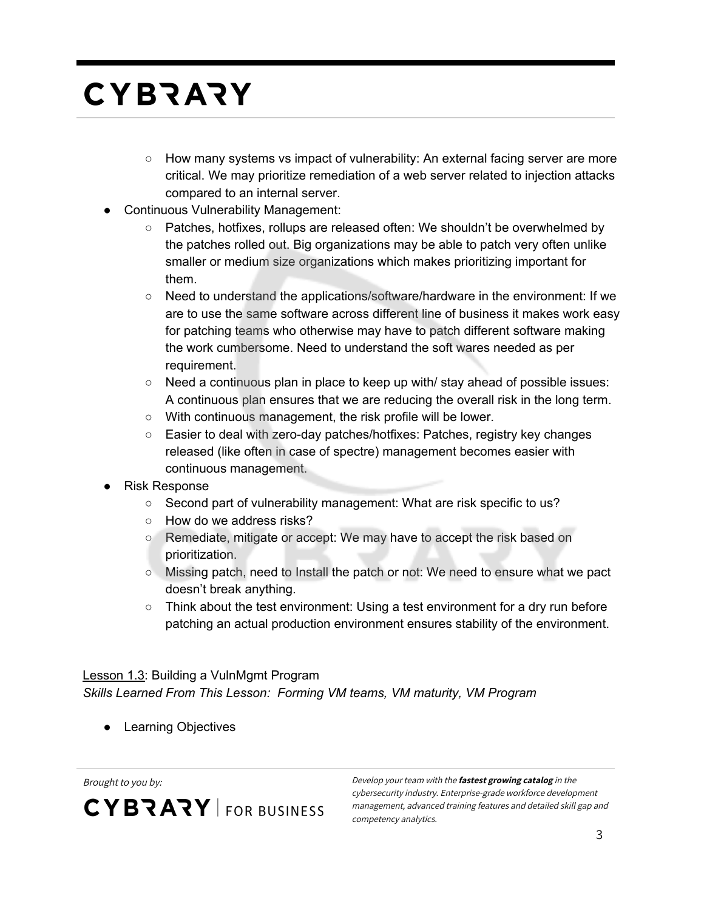- How many systems vs impact of vulnerability: An external facing server are more critical. We may prioritize remediation of a web server related to injection attacks compared to an internal server.
- **Continuous Vulnerability Management:** 
	- Patches, hotfixes, rollups are released often: We shouldn't be overwhelmed by the patches rolled out. Big organizations may be able to patch very often unlike smaller or medium size organizations which makes prioritizing important for them.
	- Need to understand the applications/software/hardware in the environment: If we are to use the same software across different line of business it makes work easy for patching teams who otherwise may have to patch different software making the work cumbersome. Need to understand the soft wares needed as per requirement.
	- $\circ$  Need a continuous plan in place to keep up with/ stay ahead of possible issues: A continuous plan ensures that we are reducing the overall risk in the long term.
	- With continuous management, the risk profile will be lower.
	- Easier to deal with zero-day patches/hotfixes: Patches, registry key changes released (like often in case of spectre) management becomes easier with continuous management.
- **Risk Response** 
	- Second part of vulnerability management: What are risk specific to us?
	- How do we address risks?
	- Remediate, mitigate or accept: We may have to accept the risk based on prioritization.
	- Missing patch, need to Install the patch or not: We need to ensure what we pact doesn't break anything.
	- Think about the test environment: Using a test environment for a dry run before patching an actual production environment ensures stability of the environment.

#### Lesson 1.3: Building a VulnMgmt Program *Skills Learned From This Lesson: Forming VM teams, VM maturity, VM Program*

● Learning Objectives

**CYBRARY** FOR BUSINESS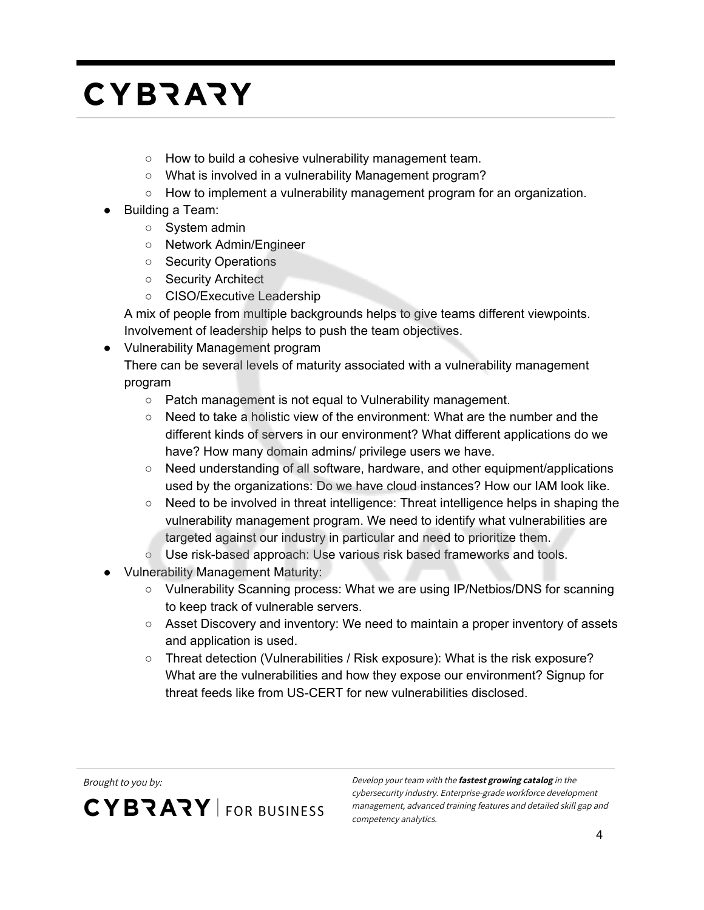- How to build a cohesive vulnerability management team.
- What is involved in a vulnerability Management program?
- How to implement a vulnerability management program for an organization.
- Building a Team:
	- System admin
	- Network Admin/Engineer
	- Security Operations
	- Security Architect
	- CISO/Executive Leadership

A mix of people from multiple backgrounds helps to give teams different viewpoints. Involvement of leadership helps to push the team objectives.

● Vulnerability Management program

There can be several levels of maturity associated with a vulnerability management program

- Patch management is not equal to Vulnerability management.
- Need to take a holistic view of the environment: What are the number and the different kinds of servers in our environment? What different applications do we have? How many domain admins/ privilege users we have.
- Need understanding of all software, hardware, and other equipment/applications used by the organizations: Do we have cloud instances? How our IAM look like.
- Need to be involved in threat intelligence: Threat intelligence helps in shaping the vulnerability management program. We need to identify what vulnerabilities are targeted against our industry in particular and need to prioritize them.
- Use risk-based approach: Use various risk based frameworks and tools.
- Vulnerability Management Maturity:
	- Vulnerability Scanning process: What we are using IP/Netbios/DNS for scanning to keep track of vulnerable servers.
	- Asset Discovery and inventory: We need to maintain a proper inventory of assets and application is used.
	- Threat detection (Vulnerabilities / Risk exposure): What is the risk exposure? What are the vulnerabilities and how they expose our environment? Signup for threat feeds like from US-CERT for new vulnerabilities disclosed.

**CYBRARY** FOR BUSINESS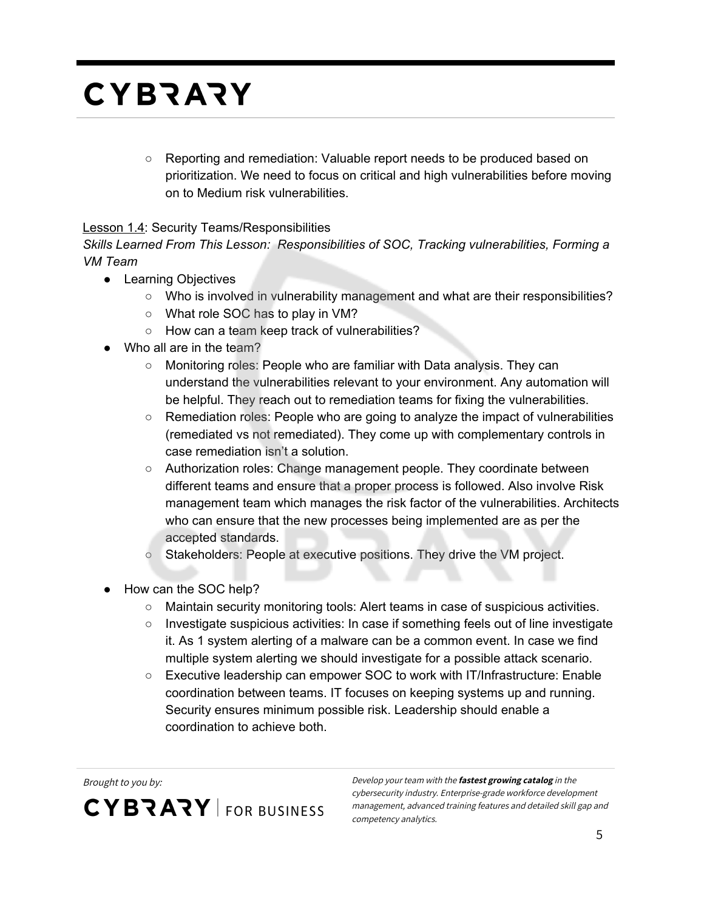○ Reporting and remediation: Valuable report needs to be produced based on prioritization. We need to focus on critical and high vulnerabilities before moving on to Medium risk vulnerabilities.

#### **Lesson 1.4: Security Teams/Responsibilities**

*Skills Learned From This Lesson: Responsibilities of SOC, Tracking vulnerabilities, Forming a VM Team*

- Learning Objectives
	- Who is involved in vulnerability management and what are their responsibilities?
	- What role SOC has to play in VM?
	- How can a team keep track of vulnerabilities?
- Who all are in the team?
	- Monitoring roles: People who are familiar with Data analysis. They can understand the vulnerabilities relevant to your environment. Any automation will be helpful. They reach out to remediation teams for fixing the vulnerabilities.
	- Remediation roles: People who are going to analyze the impact of vulnerabilities (remediated vs not remediated). They come up with complementary controls in case remediation isn't a solution.
	- Authorization roles: Change management people. They coordinate between different teams and ensure that a proper process is followed. Also involve Risk management team which manages the risk factor of the vulnerabilities. Architects who can ensure that the new processes being implemented are as per the accepted standards.
	- Stakeholders: People at executive positions. They drive the VM project.
- How can the SOC help?
	- Maintain security monitoring tools: Alert teams in case of suspicious activities.
	- Investigate suspicious activities: In case if something feels out of line investigate it. As 1 system alerting of a malware can be a common event. In case we find multiple system alerting we should investigate for a possible attack scenario.
	- Executive leadership can empower SOC to work with IT/Infrastructure: Enable coordination between teams. IT focuses on keeping systems up and running. Security ensures minimum possible risk. Leadership should enable a coordination to achieve both.

**CYBRARY** FOR BUSINESS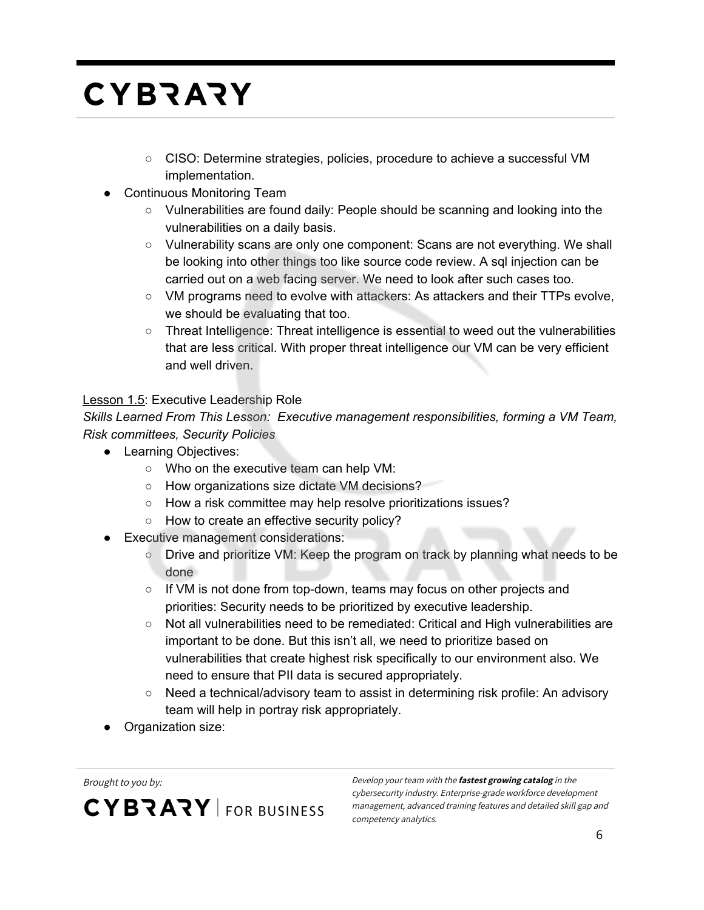- CISO: Determine strategies, policies, procedure to achieve a successful VM implementation.
- Continuous Monitoring Team
	- Vulnerabilities are found daily: People should be scanning and looking into the vulnerabilities on a daily basis.
	- Vulnerability scans are only one component: Scans are not everything. We shall be looking into other things too like source code review. A sql injection can be carried out on a web facing server. We need to look after such cases too.
	- VM programs need to evolve with attackers: As attackers and their TTPs evolve, we should be evaluating that too.
	- Threat Intelligence: Threat intelligence is essential to weed out the vulnerabilities that are less critical. With proper threat intelligence our VM can be very efficient and well driven.

#### Lesson 1.5: Executive Leadership Role

*Skills Learned From This Lesson: Executive management responsibilities, forming a VM Team, Risk committees, Security Policies*

- Learning Objectives:
	- Who on the executive team can help VM:
	- How organizations size dictate VM decisions?
	- How a risk committee may help resolve prioritizations issues?
	- How to create an effective security policy?
- **Executive management considerations:** 
	- Drive and prioritize VM: Keep the program on track by planning what needs to be done
	- If VM is not done from top-down, teams may focus on other projects and priorities: Security needs to be prioritized by executive leadership.
	- Not all vulnerabilities need to be remediated: Critical and High vulnerabilities are important to be done. But this isn't all, we need to prioritize based on vulnerabilities that create highest risk specifically to our environment also. We need to ensure that PII data is secured appropriately.
	- Need a technical/advisory team to assist in determining risk profile: An advisory team will help in portray risk appropriately.
- Organization size:

**CYBRARY** FOR BUSINESS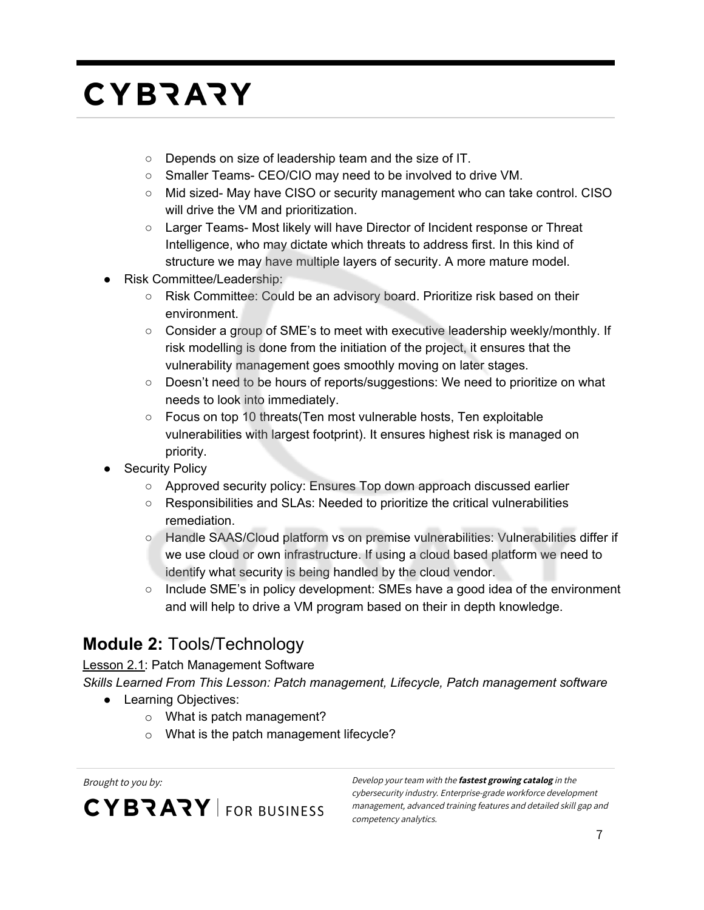- Depends on size of leadership team and the size of IT.
- Smaller Teams- CEO/CIO may need to be involved to drive VM.
- Mid sized- May have CISO or security management who can take control. CISO will drive the VM and prioritization.
- Larger Teams- Most likely will have Director of Incident response or Threat Intelligence, who may dictate which threats to address first. In this kind of structure we may have multiple layers of security. A more mature model.
- Risk Committee/Leadership:
	- Risk Committee: Could be an advisory board. Prioritize risk based on their environment.
	- Consider a group of SME's to meet with executive leadership weekly/monthly. If risk modelling is done from the initiation of the project, it ensures that the vulnerability management goes smoothly moving on later stages.
	- Doesn't need to be hours of reports/suggestions: We need to prioritize on what needs to look into immediately.
	- Focus on top 10 threats(Ten most vulnerable hosts, Ten exploitable vulnerabilities with largest footprint). It ensures highest risk is managed on priority.
- **Security Policy** 
	- Approved security policy: Ensures Top down approach discussed earlier
	- Responsibilities and SLAs: Needed to prioritize the critical vulnerabilities remediation.
	- Handle SAAS/Cloud platform vs on premise vulnerabilities: Vulnerabilities differ if we use cloud or own infrastructure. If using a cloud based platform we need to identify what security is being handled by the cloud vendor.
	- $\circ$  Include SME's in policy development: SMEs have a good idea of the environment and will help to drive a VM program based on their in depth knowledge.

#### **Module 2:** Tools/Technology

Lesson 2.1: Patch Management Software

*Skills Learned From This Lesson: Patch management, Lifecycle, Patch management software*

- Learning Objectives:
	- o What is patch management?
	- o What is the patch management lifecycle?

**CYBRARY** FOR BUSINESS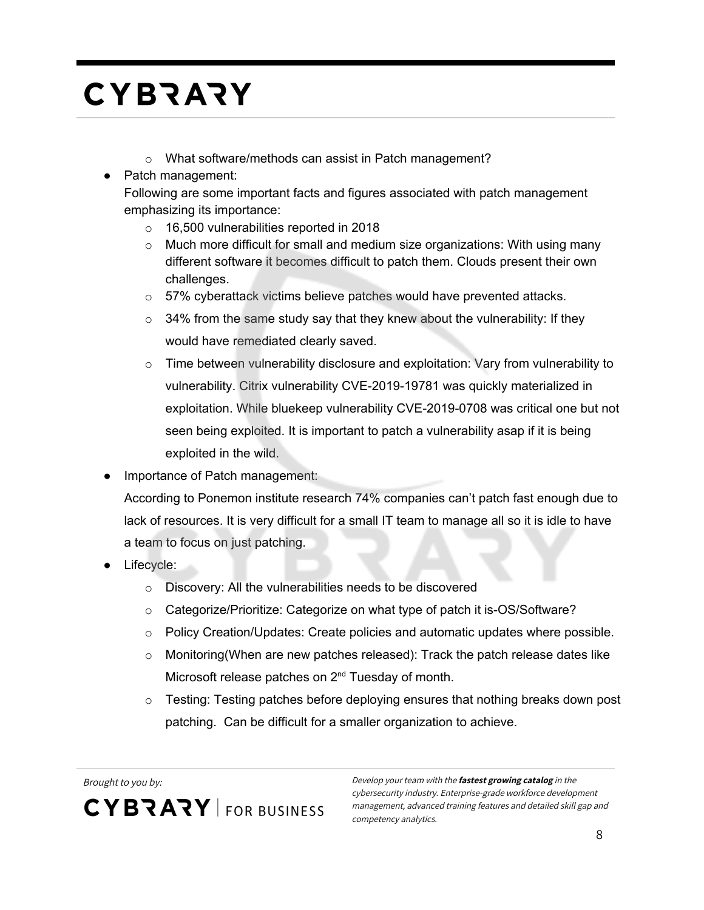- o What software/methods can assist in Patch management?
- Patch management:
	- Following are some important facts and figures associated with patch management emphasizing its importance:
		- o 16,500 vulnerabilities reported in 2018
		- $\circ$  Much more difficult for small and medium size organizations: With using many different software it becomes difficult to patch them. Clouds present their own challenges.
		- o 57% cyberattack victims believe patches would have prevented attacks.
		- $\circ$  34% from the same study say that they knew about the vulnerability: If they would have remediated clearly saved.
		- $\circ$  Time between vulnerability disclosure and exploitation: Vary from vulnerability to vulnerability. Citrix vulnerability CVE-2019-19781 was quickly materialized in exploitation. While bluekeep vulnerability CVE-2019-0708 was critical one but not seen being exploited. It is important to patch a vulnerability asap if it is being exploited in the wild.
- Importance of Patch management:
	- According to Ponemon institute research 74% companies can't patch fast enough due to lack of resources. It is very difficult for a small IT team to manage all so it is idle to have a team to focus on just patching.
- Lifecycle:
	- o Discovery: All the vulnerabilities needs to be discovered
	- o Categorize/Prioritize: Categorize on what type of patch it is-OS/Software?
	- $\circ$  Policy Creation/Updates: Create policies and automatic updates where possible.
	- $\circ$  Monitoring (When are new patches released): Track the patch release dates like Microsoft release patches on 2<sup>nd</sup> Tuesday of month.
	- $\circ$  Testing: Testing patches before deploying ensures that nothing breaks down post patching. Can be difficult for a smaller organization to achieve.

Brought to you by: Develop your team with the **fastest growing catalog** in the **CYBRARY** FOR BUSINESS

cybersecurity industry. Enterprise-grade workforce development management, advanced training features and detailed skill gap and competency analytics.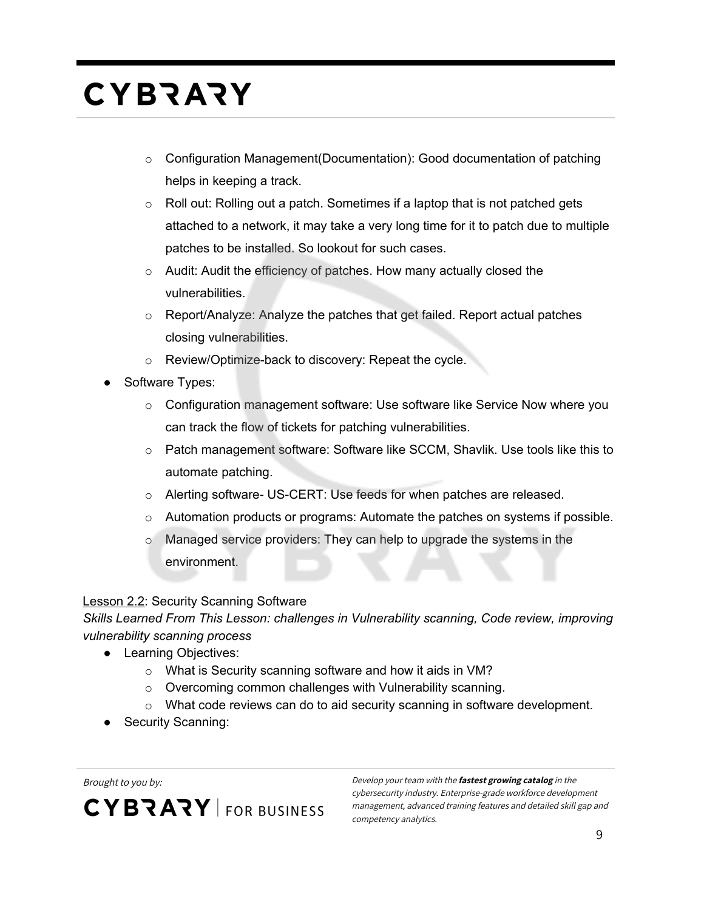- $\circ$  Configuration Management(Documentation): Good documentation of patching helps in keeping a track.
- $\circ$  Roll out: Rolling out a patch. Sometimes if a laptop that is not patched gets attached to a network, it may take a very long time for it to patch due to multiple patches to be installed. So lookout for such cases.
- o Audit: Audit the efficiency of patches. How many actually closed the vulnerabilities.
- o Report/Analyze: Analyze the patches that get failed. Report actual patches closing vulnerabilities.
- o Review/Optimize-back to discovery: Repeat the cycle.
- Software Types:
	- $\circ$  Configuration management software: Use software like Service Now where you can track the flow of tickets for patching vulnerabilities.
	- $\circ$  Patch management software: Software like SCCM, Shavlik. Use tools like this to automate patching.
	- o Alerting software- US-CERT: Use feeds for when patches are released.
	- $\circ$  Automation products or programs: Automate the patches on systems if possible.
	- $\circ$  Managed service providers: They can help to upgrade the systems in the environment.

#### Lesson 2.2: Security Scanning Software

*Skills Learned From This Lesson: challenges in Vulnerability scanning, Code review, improving vulnerability scanning process*

- Learning Objectives:
	- o What is Security scanning software and how it aids in VM?
	- o Overcoming common challenges with Vulnerability scanning.
	- $\circ$  What code reviews can do to aid security scanning in software development.
- Security Scanning:

**CYBRARY** FOR BUSINESS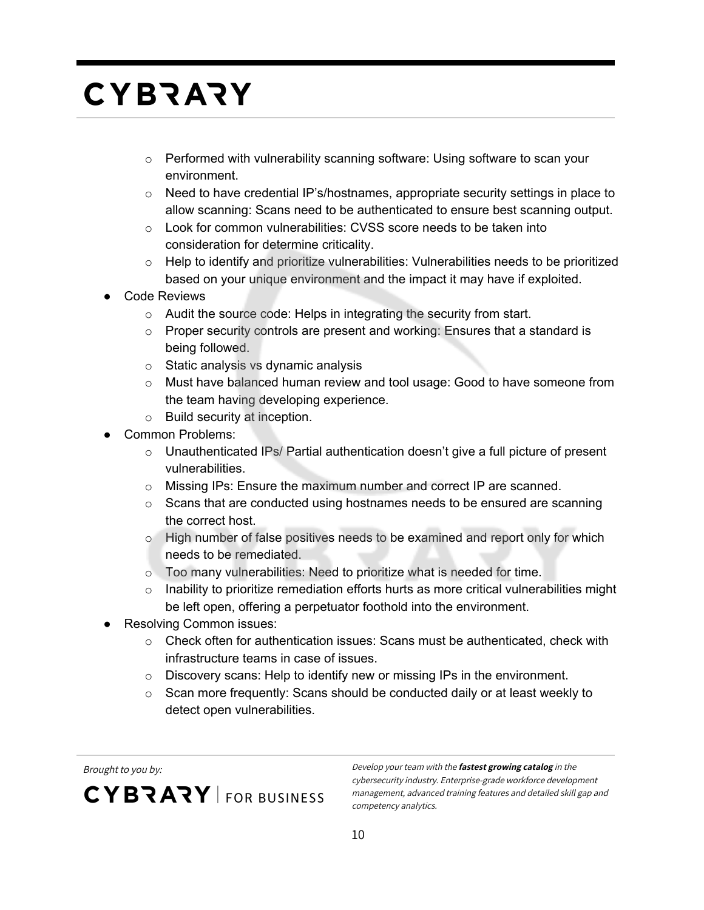- $\circ$  Performed with vulnerability scanning software: Using software to scan your environment.
- $\circ$  Need to have credential IP's/hostnames, appropriate security settings in place to allow scanning: Scans need to be authenticated to ensure best scanning output.
- o Look for common vulnerabilities: CVSS score needs to be taken into consideration for determine criticality.
- $\circ$  Help to identify and prioritize vulnerabilities: Vulnerabilities needs to be prioritized based on your unique environment and the impact it may have if exploited.
- Code Reviews
	- o Audit the source code: Helps in integrating the security from start.
	- $\circ$  Proper security controls are present and working: Ensures that a standard is being followed.
	- o Static analysis vs dynamic analysis
	- $\circ$  Must have balanced human review and tool usage: Good to have someone from the team having developing experience.
	- o Build security at inception.
- Common Problems:
	- $\circ$  Unauthenticated IPs/ Partial authentication doesn't give a full picture of present vulnerabilities.
	- o Missing IPs: Ensure the maximum number and correct IP are scanned.
	- $\circ$  Scans that are conducted using hostnames needs to be ensured are scanning the correct host.
	- $\circ$  High number of false positives needs to be examined and report only for which needs to be remediated.
	- o Too many vulnerabilities: Need to prioritize what is needed for time.
	- $\circ$  Inability to prioritize remediation efforts hurts as more critical vulnerabilities might be left open, offering a perpetuator foothold into the environment.
- Resolving Common issues:
	- $\circ$  Check often for authentication issues: Scans must be authenticated, check with infrastructure teams in case of issues.
	- o Discovery scans: Help to identify new or missing IPs in the environment.
	- $\circ$  Scan more frequently: Scans should be conducted daily or at least weekly to detect open vulnerabilities.

CYBRARY FOR BUSINESS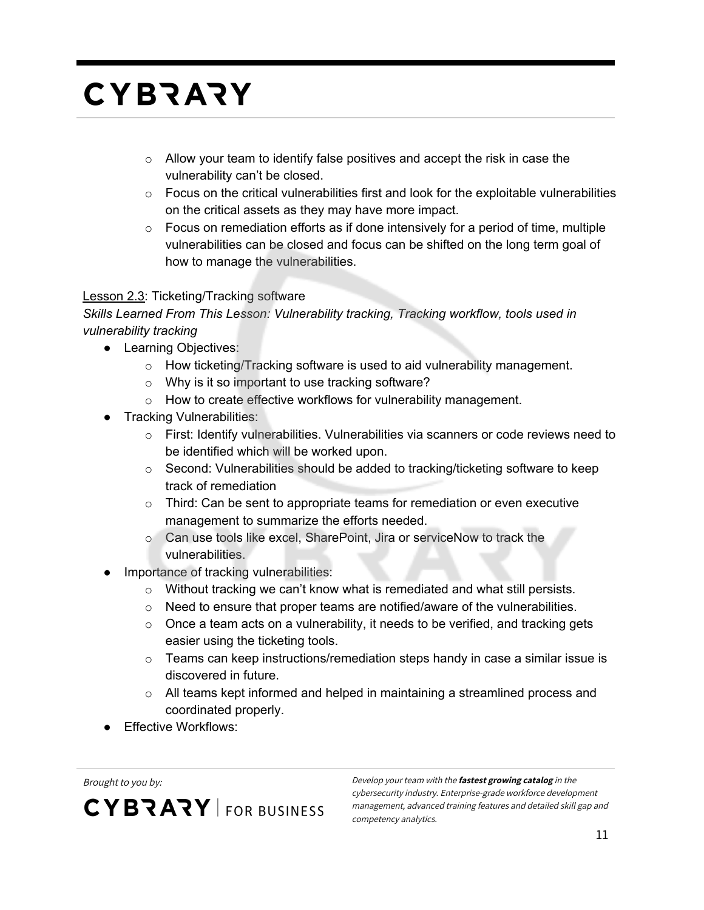- o Allow your team to identify false positives and accept the risk in case the vulnerability can't be closed.
- $\circ$  Focus on the critical vulnerabilities first and look for the exploitable vulnerabilities on the critical assets as they may have more impact.
- $\circ$  Focus on remediation efforts as if done intensively for a period of time, multiple vulnerabilities can be closed and focus can be shifted on the long term goal of how to manage the vulnerabilities.

#### Lesson 2.3: Ticketing/Tracking software

*Skills Learned From This Lesson: Vulnerability tracking, Tracking workflow, tools used in vulnerability tracking*

- Learning Objectives:
	- o How ticketing/Tracking software is used to aid vulnerability management.
	- o Why is it so important to use tracking software?
	- o How to create effective workflows for vulnerability management.
- Tracking Vulnerabilities:
	- $\circ$  First: Identify vulnerabilities. Vulnerabilities via scanners or code reviews need to be identified which will be worked upon.
	- $\circ$  Second: Vulnerabilities should be added to tracking/ticketing software to keep track of remediation
	- $\circ$  Third: Can be sent to appropriate teams for remediation or even executive management to summarize the efforts needed.
	- o Can use tools like excel, SharePoint, Jira or serviceNow to track the vulnerabilities.
- Importance of tracking vulnerabilities:
	- o Without tracking we can't know what is remediated and what still persists.
	- o Need to ensure that proper teams are notified/aware of the vulnerabilities.
	- $\circ$  Once a team acts on a vulnerability, it needs to be verified, and tracking gets easier using the ticketing tools.
	- $\circ$  Teams can keep instructions/remediation steps handy in case a similar issue is discovered in future.
	- $\circ$  All teams kept informed and helped in maintaining a streamlined process and coordinated properly.
- Effective Workflows:

**CYBRARY** FOR BUSINESS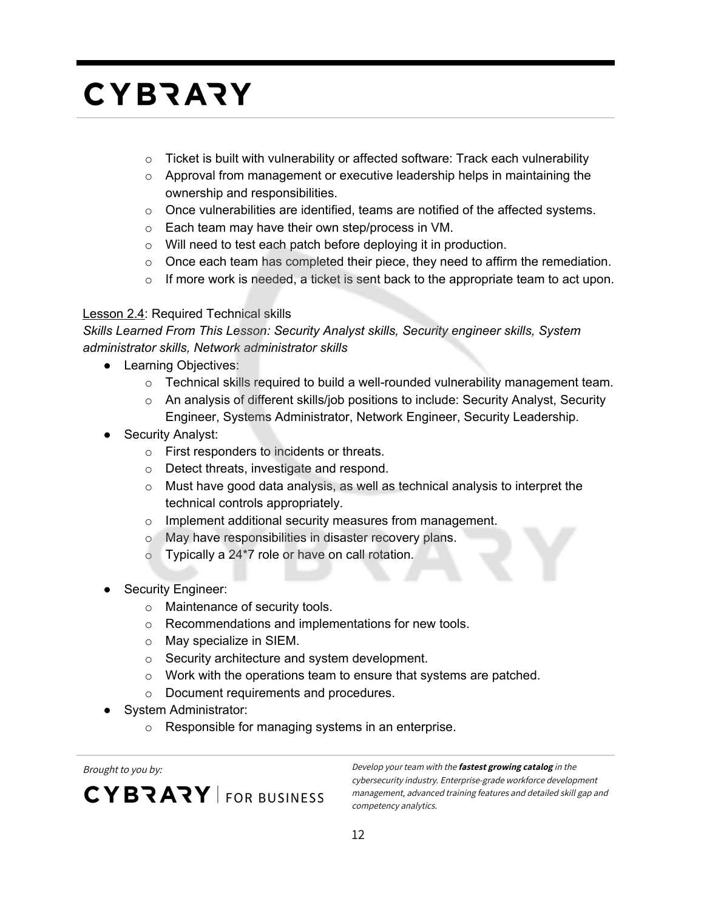- $\circ$  Ticket is built with vulnerability or affected software: Track each vulnerability
- $\circ$  Approval from management or executive leadership helps in maintaining the ownership and responsibilities.
- $\circ$  Once vulnerabilities are identified, teams are notified of the affected systems.
- o Each team may have their own step/process in VM.
- o Will need to test each patch before deploying it in production.
- $\circ$  Once each team has completed their piece, they need to affirm the remediation.
- $\circ$  If more work is needed, a ticket is sent back to the appropriate team to act upon.

#### Lesson 2.4: Required Technical skills

*Skills Learned From This Lesson: Security Analyst skills, Security engineer skills, System administrator skills, Network administrator skills*

- Learning Objectives:
	- $\circ$  Technical skills required to build a well-rounded vulnerability management team.
	- $\circ$  An analysis of different skills/job positions to include: Security Analyst, Security Engineer, Systems Administrator, Network Engineer, Security Leadership.
- Security Analyst:
	- o First responders to incidents or threats.
	- o Detect threats, investigate and respond.
	- o Must have good data analysis, as well as technical analysis to interpret the technical controls appropriately.
	- o Implement additional security measures from management.
	- o May have responsibilities in disaster recovery plans.
	- $\circ$  Typically a 24\*7 role or have on call rotation.
- Security Engineer:
	- o Maintenance of security tools.
	- o Recommendations and implementations for new tools.
	- o May specialize in SIEM.
	- o Security architecture and system development.
	- o Work with the operations team to ensure that systems are patched.
	- o Document requirements and procedures.
- **System Administrator:** 
	- o Responsible for managing systems in an enterprise.

**CYBRARY** FOR BUSINESS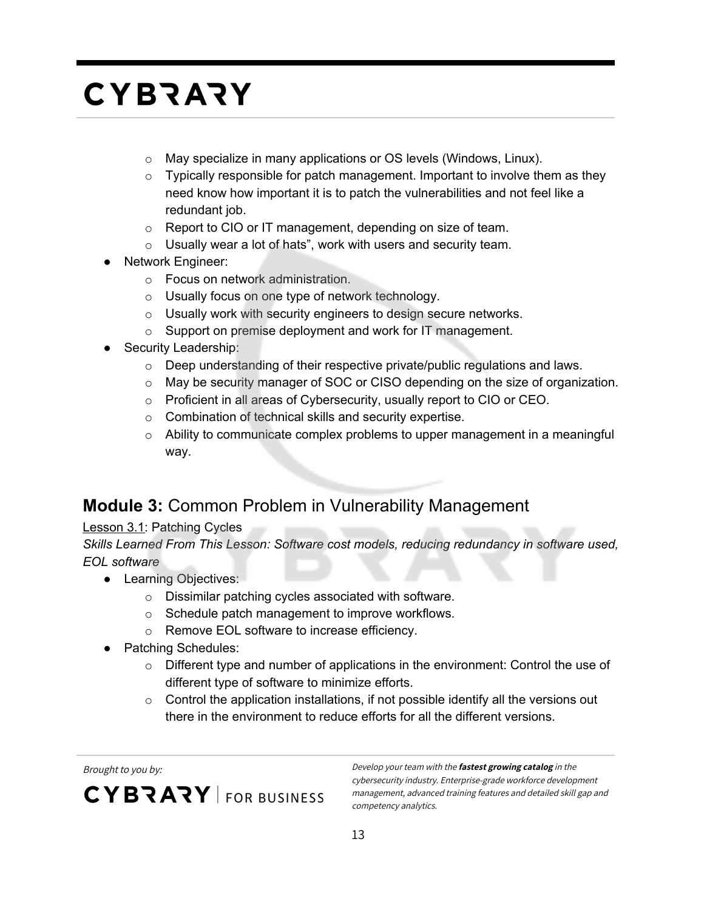- o May specialize in many applications or OS levels (Windows, Linux).
- $\circ$  Typically responsible for patch management. Important to involve them as they need know how important it is to patch the vulnerabilities and not feel like a redundant job.
- o Report to CIO or IT management, depending on size of team.
- $\circ$  Usually wear a lot of hats", work with users and security team.
- Network Engineer:
	- o Focus on network administration.
	- o Usually focus on one type of network technology.
	- o Usually work with security engineers to design secure networks.
	- o Support on premise deployment and work for IT management.
- Security Leadership:
	- $\circ$  Deep understanding of their respective private/public regulations and laws.
	- $\circ$  May be security manager of SOC or CISO depending on the size of organization.
	- o Proficient in all areas of Cybersecurity, usually report to CIO or CEO.
	- o Combination of technical skills and security expertise.
	- $\circ$  Ability to communicate complex problems to upper management in a meaningful way.

#### **Module 3:** Common Problem in Vulnerability Management

#### Lesson 3.1: Patching Cycles

*Skills Learned From This Lesson: Software cost models, reducing redundancy in software used, EOL software*

- Learning Objectives:
	- o Dissimilar patching cycles associated with software.
	- o Schedule patch management to improve workflows.
	- o Remove EOL software to increase efficiency.
- Patching Schedules:
	- $\circ$  Different type and number of applications in the environment: Control the use of different type of software to minimize efforts.
	- $\circ$  Control the application installations, if not possible identify all the versions out there in the environment to reduce efforts for all the different versions.

CYBRARY FOR BUSINESS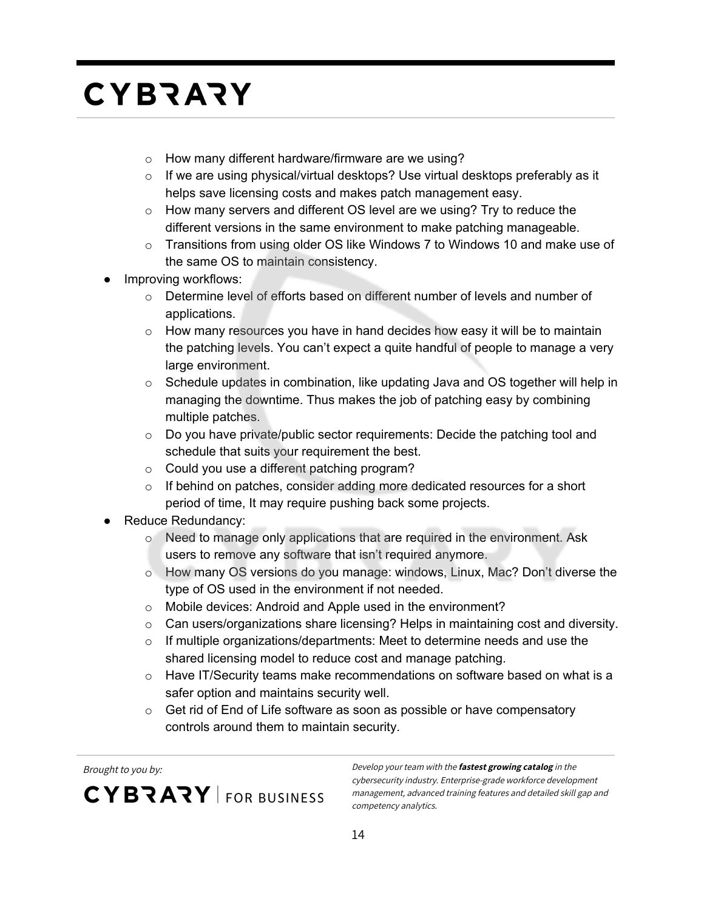- o How many different hardware/firmware are we using?
- $\circ$  If we are using physical/virtual desktops? Use virtual desktops preferably as it helps save licensing costs and makes patch management easy.
- $\circ$  How many servers and different OS level are we using? Try to reduce the different versions in the same environment to make patching manageable.
- $\circ$  Transitions from using older OS like Windows 7 to Windows 10 and make use of the same OS to maintain consistency.
- Improving workflows:
	- o Determine level of efforts based on different number of levels and number of applications.
	- $\circ$  How many resources you have in hand decides how easy it will be to maintain the patching levels. You can't expect a quite handful of people to manage a very large environment.
	- $\circ$  Schedule updates in combination, like updating Java and OS together will help in managing the downtime. Thus makes the job of patching easy by combining multiple patches.
	- $\circ$  Do you have private/public sector requirements: Decide the patching tool and schedule that suits your requirement the best.
	- o Could you use a different patching program?
	- $\circ$  If behind on patches, consider adding more dedicated resources for a short period of time, It may require pushing back some projects.
- Reduce Redundancy:
	- $\circ$  Need to manage only applications that are required in the environment. Ask users to remove any software that isn't required anymore.
	- o How many OS versions do you manage: windows, Linux, Mac? Don't diverse the type of OS used in the environment if not needed.
	- o Mobile devices: Android and Apple used in the environment?
	- $\circ$  Can users/organizations share licensing? Helps in maintaining cost and diversity.
	- $\circ$  If multiple organizations/departments: Meet to determine needs and use the shared licensing model to reduce cost and manage patching.
	- $\circ$  Have IT/Security teams make recommendations on software based on what is a safer option and maintains security well.
	- $\circ$  Get rid of End of Life software as soon as possible or have compensatory controls around them to maintain security.

**CYBRARY** FOR BUSINESS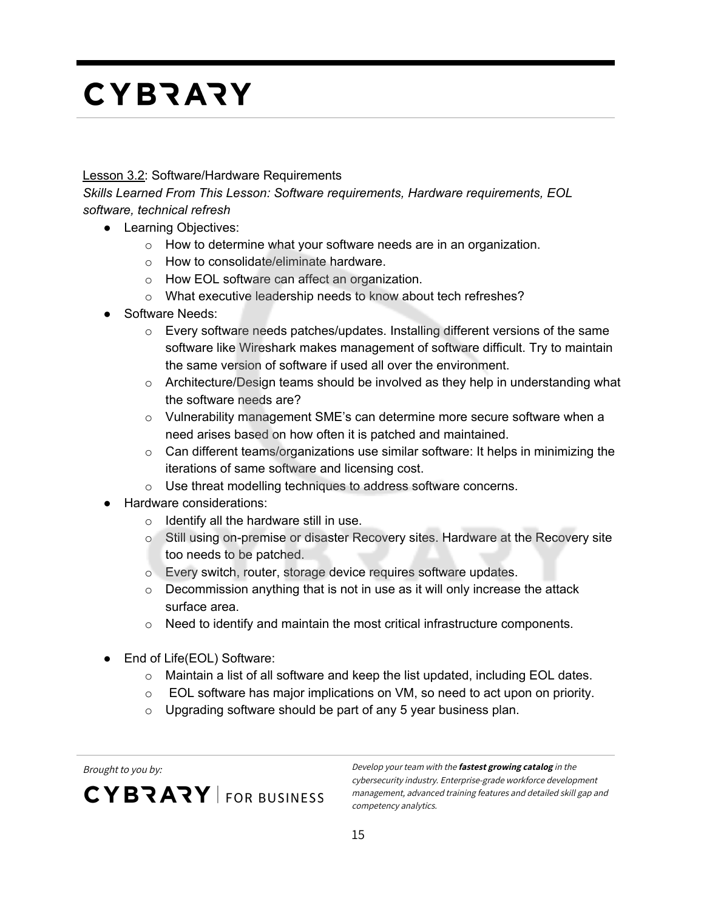#### **Lesson 3.2: Software/Hardware Requirements**

*Skills Learned From This Lesson: Software requirements, Hardware requirements, EOL software, technical refresh*

- Learning Objectives:
	- $\circ$  How to determine what your software needs are in an organization.
	- o How to consolidate/eliminate hardware.
	- o How EOL software can affect an organization.
	- o What executive leadership needs to know about tech refreshes?
- Software Needs:
	- $\circ$  Every software needs patches/updates. Installing different versions of the same software like Wireshark makes management of software difficult. Try to maintain the same version of software if used all over the environment.
	- $\circ$  Architecture/Design teams should be involved as they help in understanding what the software needs are?
	- o Vulnerability management SME's can determine more secure software when a need arises based on how often it is patched and maintained.
	- $\circ$  Can different teams/organizations use similar software: It helps in minimizing the iterations of same software and licensing cost.
	- o Use threat modelling techniques to address software concerns.
- Hardware considerations:
	- $\circ$  Identify all the hardware still in use.
	- $\circ$  Still using on-premise or disaster Recovery sites. Hardware at the Recovery site too needs to be patched.
	- o Every switch, router, storage device requires software updates.
	- $\circ$  Decommission anything that is not in use as it will only increase the attack surface area.
	- $\circ$  Need to identify and maintain the most critical infrastructure components.
- End of Life(EOL) Software:
	- o Maintain a list of all software and keep the list updated, including EOL dates.
	- $\circ$  EOL software has major implications on VM, so need to act upon on priority.
	- $\circ$  Upgrading software should be part of any 5 year business plan.

CYBRARY FOR BUSINESS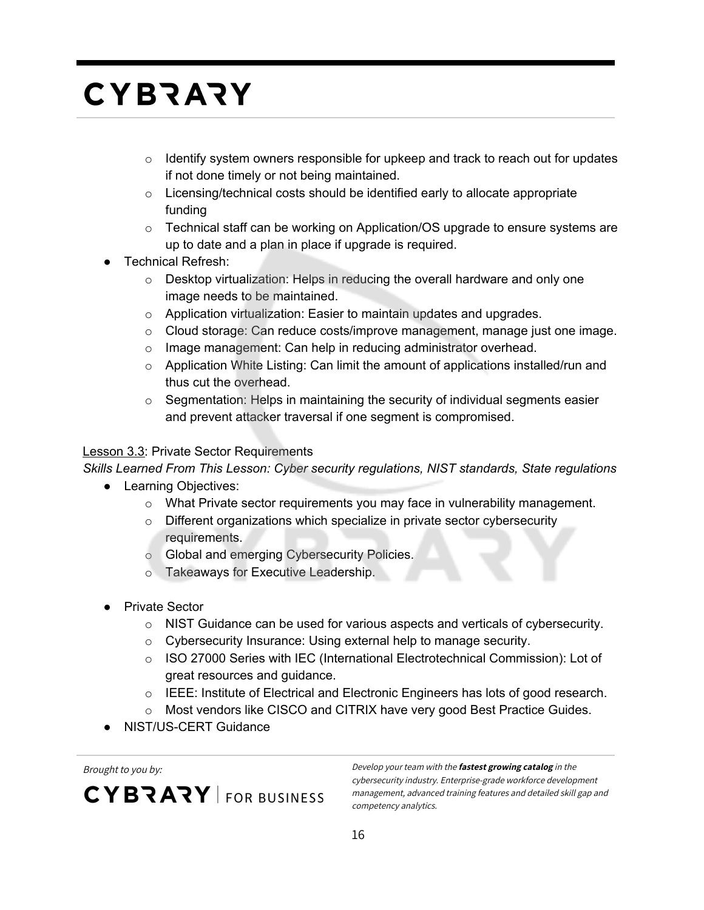- $\circ$  Identify system owners responsible for upkeep and track to reach out for updates if not done timely or not being maintained.
- o Licensing/technical costs should be identified early to allocate appropriate funding
- o Technical staff can be working on Application/OS upgrade to ensure systems are up to date and a plan in place if upgrade is required.
- Technical Refresh:
	- $\circ$  Desktop virtualization: Helps in reducing the overall hardware and only one image needs to be maintained.
	- o Application virtualization: Easier to maintain updates and upgrades.
	- $\circ$  Cloud storage: Can reduce costs/improve management, manage just one image.
	- o Image management: Can help in reducing administrator overhead.
	- $\circ$  Application White Listing: Can limit the amount of applications installed/run and thus cut the overhead.
	- $\circ$  Segmentation: Helps in maintaining the security of individual segments easier and prevent attacker traversal if one segment is compromised.

#### Lesson 3.3: Private Sector Requirements

*Skills Learned From This Lesson: Cyber security regulations, NIST standards, State regulations*

- Learning Objectives:
	- $\circ$  What Private sector requirements you may face in vulnerability management.
	- o Different organizations which specialize in private sector cybersecurity requirements.
	- o Global and emerging Cybersecurity Policies.
	- o Takeaways for Executive Leadership.
- Private Sector
	- $\circ$  NIST Guidance can be used for various aspects and verticals of cybersecurity.
	- o Cybersecurity Insurance: Using external help to manage security.
	- o ISO 27000 Series with IEC (International Electrotechnical Commission): Lot of great resources and guidance.
	- o IEEE: Institute of Electrical and Electronic Engineers has lots of good research.
	- o Most vendors like CISCO and CITRIX have very good Best Practice Guides.
- NIST/US-CERT Guidance

CYBRARY FOR BUSINESS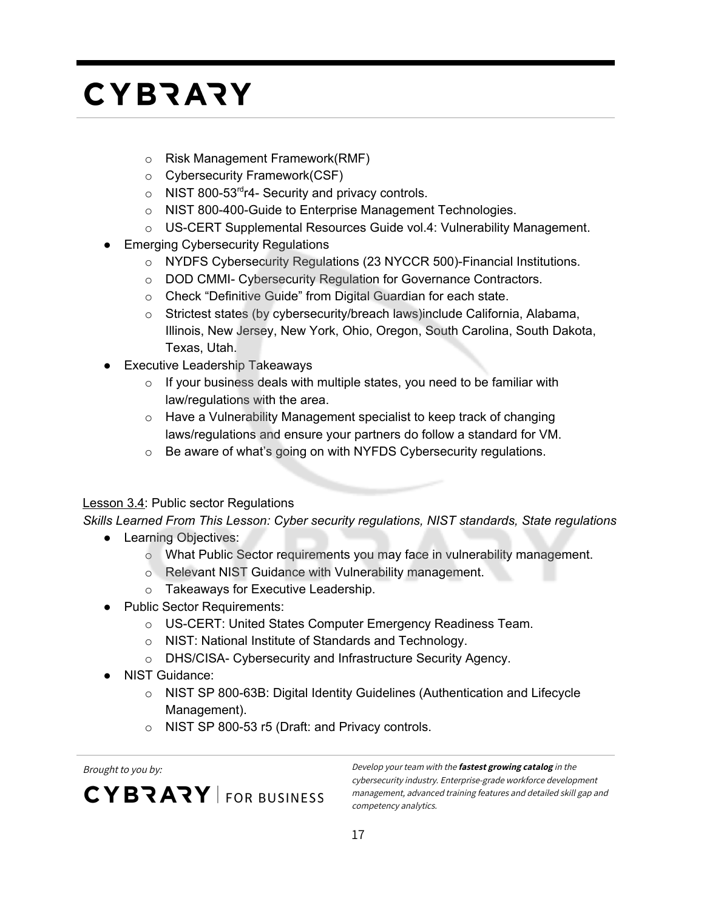- o Risk Management Framework(RMF)
- o Cybersecurity Framework(CSF)
- $\circ$  NIST 800-53<sup>rd</sup>r4- Security and privacy controls.
- o NIST 800-400-Guide to Enterprise Management Technologies.
- o US-CERT Supplemental Resources Guide vol.4: Vulnerability Management.
- Emerging Cybersecurity Regulations
	- o NYDFS Cybersecurity Regulations (23 NYCCR 500)-Financial Institutions.
	- o DOD CMMI- Cybersecurity Regulation for Governance Contractors.
	- o Check "Definitive Guide" from Digital Guardian for each state.
	- o Strictest states (by cybersecurity/breach laws)include California, Alabama, Illinois, New Jersey, New York, Ohio, Oregon, South Carolina, South Dakota, Texas, Utah.
- **Executive Leadership Takeaways** 
	- $\circ$  If your business deals with multiple states, you need to be familiar with law/regulations with the area.
	- o Have a Vulnerability Management specialist to keep track of changing laws/regulations and ensure your partners do follow a standard for VM.
	- o Be aware of what's going on with NYFDS Cybersecurity regulations.

#### **Lesson 3.4: Public sector Regulations**

*Skills Learned From This Lesson: Cyber security regulations, NIST standards, State regulations*

- Learning Objectives:
	- o What Public Sector requirements you may face in vulnerability management.
	- o Relevant NIST Guidance with Vulnerability management.
	- o Takeaways for Executive Leadership.
- Public Sector Requirements:
	- o US-CERT: United States Computer Emergency Readiness Team.
	- o NIST: National Institute of Standards and Technology.
	- o DHS/CISA- Cybersecurity and Infrastructure Security Agency.
- NIST Guidance:
	- o NIST SP 800-63B: Digital Identity Guidelines (Authentication and Lifecycle Management).
	- o NIST SP 800-53 r5 (Draft: and Privacy controls.

**CYBRARY** FOR BUSINESS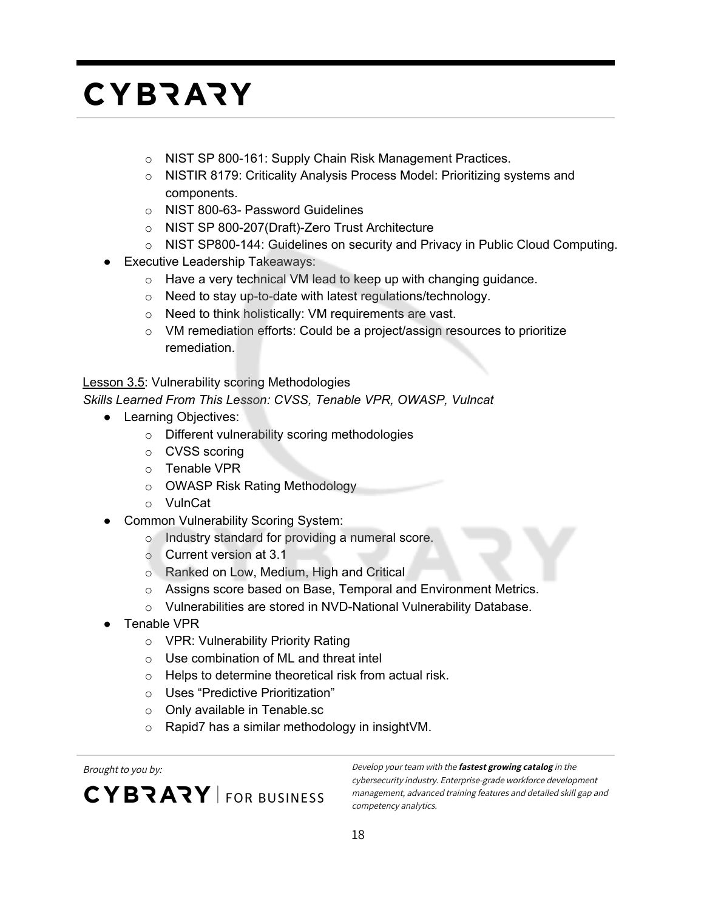- o NIST SP 800-161: Supply Chain Risk Management Practices.
- o NISTIR 8179: Criticality Analysis Process Model: Prioritizing systems and components.
- o NIST 800-63- Password Guidelines
- o NIST SP 800-207(Draft)-Zero Trust Architecture
- o NIST SP800-144: Guidelines on security and Privacy in Public Cloud Computing.
- **Executive Leadership Takeaways:** 
	- o Have a very technical VM lead to keep up with changing guidance.
	- o Need to stay up-to-date with latest regulations/technology.
	- o Need to think holistically: VM requirements are vast.
	- o VM remediation efforts: Could be a project/assign resources to prioritize remediation.

Lesson 3.5: Vulnerability scoring Methodologies

*Skills Learned From This Lesson: CVSS, Tenable VPR, OWASP, Vulncat*

- Learning Objectives:
	- o Different vulnerability scoring methodologies
	- o CVSS scoring
	- o Tenable VPR
	- o OWASP Risk Rating Methodology
	- o VulnCat
- **Common Vulnerability Scoring System:** 
	- o Industry standard for providing a numeral score.
	- o Current version at 3.1
	- o Ranked on Low, Medium, High and Critical
	- o Assigns score based on Base, Temporal and Environment Metrics.
	- o Vulnerabilities are stored in NVD-National Vulnerability Database.
- Tenable VPR
	- o VPR: Vulnerability Priority Rating
	- o Use combination of ML and threat intel
	- o Helps to determine theoretical risk from actual risk.
	- o Uses "Predictive Prioritization"
	- o Only available in Tenable.sc
	- o Rapid7 has a similar methodology in insightVM.

CYBRARY FOR BUSINESS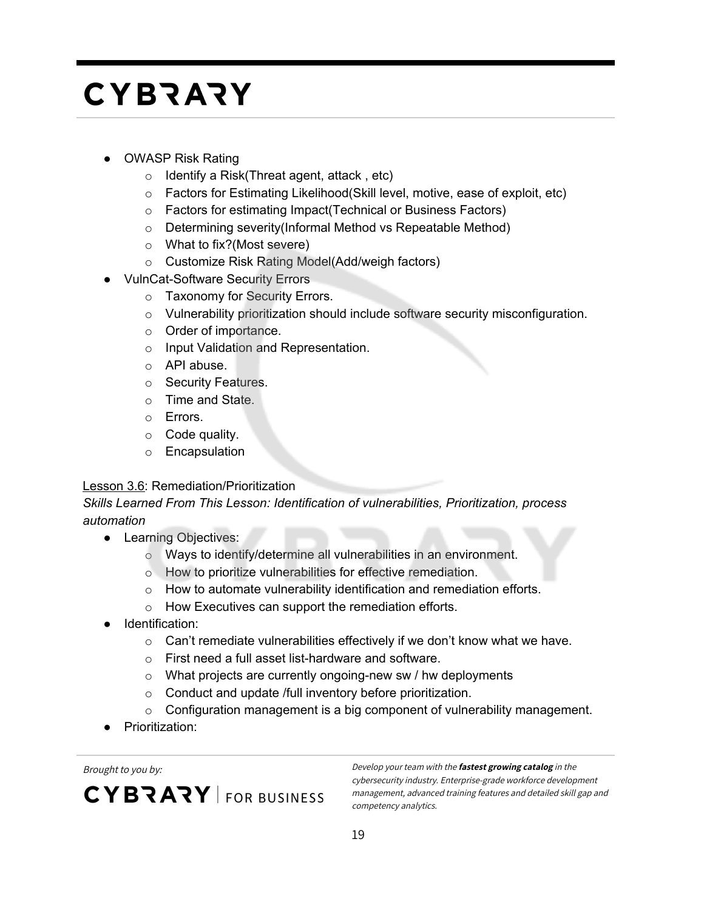- **OWASP Risk Rating** 
	- $\circ$  Identify a Risk(Threat agent, attack, etc)
	- $\circ$  Factors for Estimating Likelihood (Skill level, motive, ease of exploit, etc)
	- o Factors for estimating Impact(Technical or Business Factors)
	- o Determining severity(Informal Method vs Repeatable Method)
	- o What to fix?(Most severe)
	- o Customize Risk Rating Model(Add/weigh factors)
- **VulnCat-Software Security Errors** 
	- o Taxonomy for Security Errors.
	- o Vulnerability prioritization should include software security misconfiguration.
	- o Order of importance.
	- o Input Validation and Representation.
	- o API abuse.
	- o Security Features.
	- o Time and State.
	- o Errors.
	- $\circ$  Code quality.
	- o Encapsulation

#### Lesson 3.6: Remediation/Prioritization

#### *Skills Learned From This Lesson: Identification of vulnerabilities, Prioritization, process automation*

- Learning Objectives:
	- o Ways to identify/determine all vulnerabilities in an environment.
	- o How to prioritize vulnerabilities for effective remediation.
	- o How to automate vulnerability identification and remediation efforts.
	- o How Executives can support the remediation efforts.
- Identification:
	- $\circ$  Can't remediate vulnerabilities effectively if we don't know what we have.
	- o First need a full asset list-hardware and software.
	- o What projects are currently ongoing-new sw / hw deployments
	- o Conduct and update /full inventory before prioritization.
	- $\circ$  Configuration management is a big component of vulnerability management.
- Prioritization:

**CYBRARY** FOR BUSINESS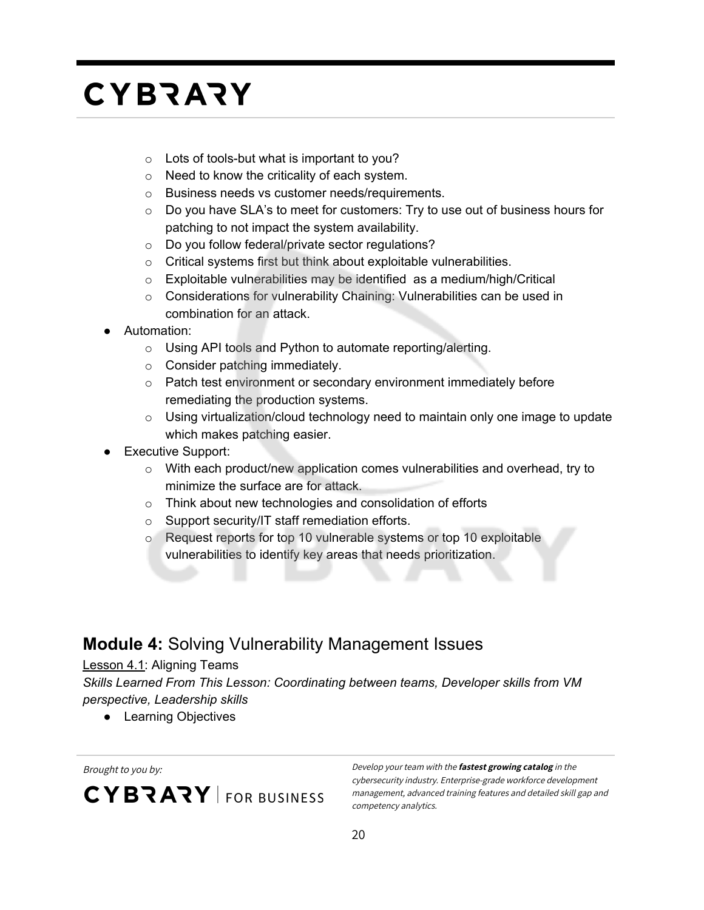- o Lots of tools-but what is important to you?
- o Need to know the criticality of each system.
- o Business needs vs customer needs/requirements.
- $\circ$  Do you have SLA's to meet for customers: Try to use out of business hours for patching to not impact the system availability.
- o Do you follow federal/private sector regulations?
- o Critical systems first but think about exploitable vulnerabilities.
- o Exploitable vulnerabilities may be identified as a medium/high/Critical
- o Considerations for vulnerability Chaining: Vulnerabilities can be used in combination for an attack.
- Automation:
	- o Using API tools and Python to automate reporting/alerting.
	- o Consider patching immediately.
	- o Patch test environment or secondary environment immediately before remediating the production systems.
	- o Using virtualization/cloud technology need to maintain only one image to update which makes patching easier.
- **Executive Support:** 
	- $\circ$  With each product/new application comes vulnerabilities and overhead, try to minimize the surface are for attack.
	- o Think about new technologies and consolidation of efforts
	- o Support security/IT staff remediation efforts.
	- o Request reports for top 10 vulnerable systems or top 10 exploitable vulnerabilities to identify key areas that needs prioritization.

#### **Module 4:** Solving Vulnerability Management Issues

#### Lesson 4.1: Aligning Teams

*Skills Learned From This Lesson: Coordinating between teams, Developer skills from VM perspective, Leadership skills*

● Learning Objectives

**CYBRARY** FOR BUSINESS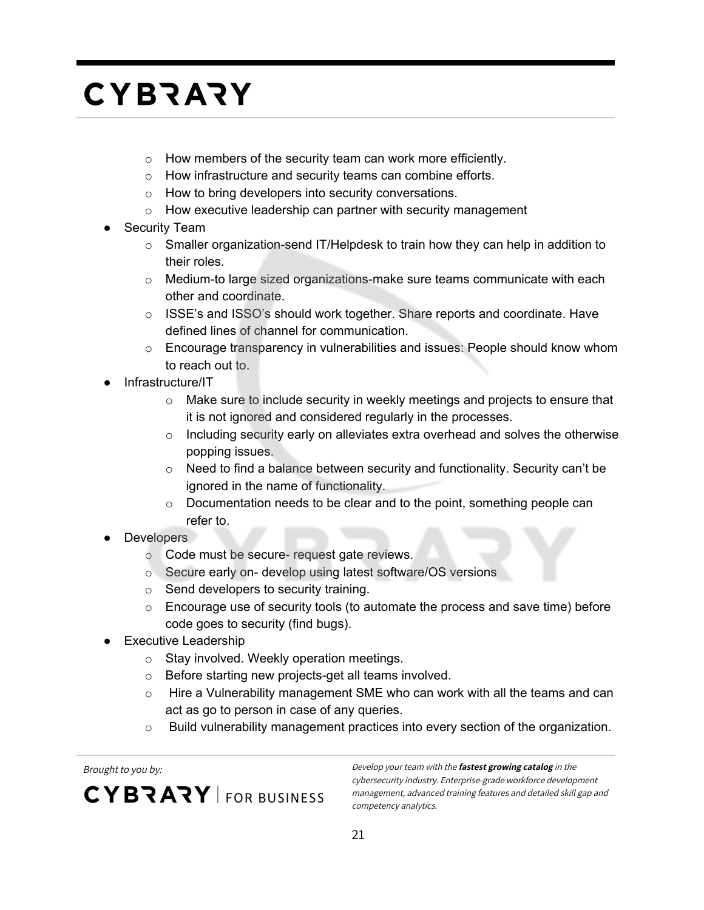- o How members of the security team can work more efficiently.
- o How infrastructure and security teams can combine efforts.
- o How to bring developers into security conversations.
- o How executive leadership can partner with security management
- **Security Team** 
	- $\circ$  Smaller organization-send IT/Helpdesk to train how they can help in addition to their roles.
	- $\circ$  Medium-to large sized organizations-make sure teams communicate with each other and coordinate.
	- o ISSE's and ISSO's should work together. Share reports and coordinate. Have defined lines of channel for communication.
	- $\circ$  Encourage transparency in vulnerabilities and issues: People should know whom to reach out to.
- Infrastructure/IT
	- $\circ$  Make sure to include security in weekly meetings and projects to ensure that it is not ignored and considered regularly in the processes.
	- $\circ$  Including security early on alleviates extra overhead and solves the otherwise popping issues.
	- $\circ$  Need to find a balance between security and functionality. Security can't be ignored in the name of functionality.
	- o Documentation needs to be clear and to the point, something people can refer to.
- Developers
	- o Code must be secure- request gate reviews.
	- o Secure early on- develop using latest software/OS versions
	- o Send developers to security training.
	- o Encourage use of security tools (to automate the process and save time) before code goes to security (find bugs).
- **Executive Leadership** 
	- o Stay involved. Weekly operation meetings.
	- o Before starting new projects-get all teams involved.
	- $\circ$  Hire a Vulnerability management SME who can work with all the teams and can act as go to person in case of any queries.
	- $\circ$  Build vulnerability management practices into every section of the organization.

**CYBRARY** FOR BUSINESS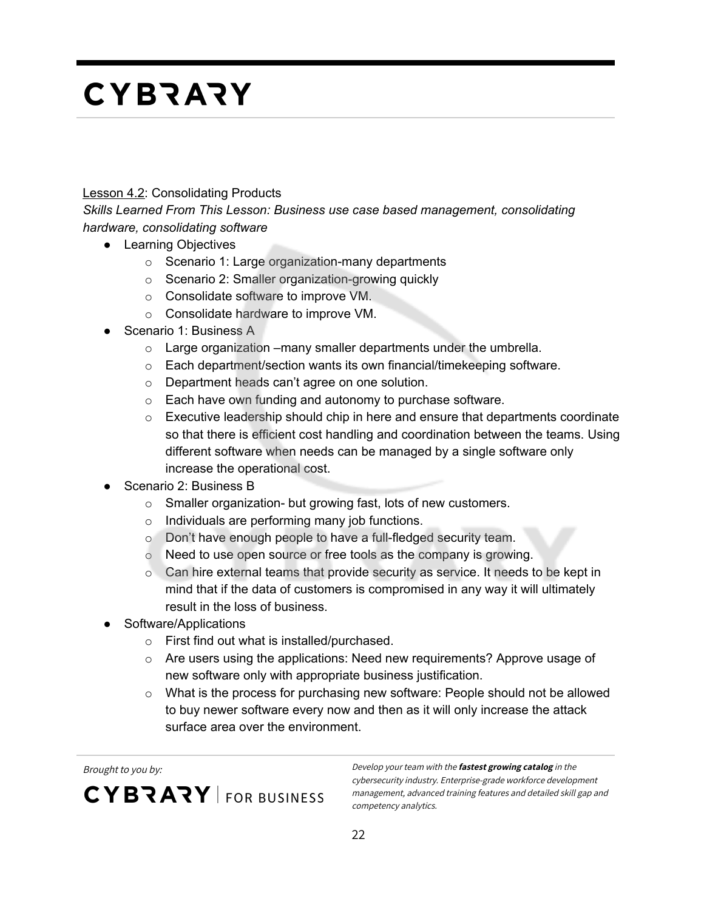#### **Lesson 4.2: Consolidating Products**

*Skills Learned From This Lesson: Business use case based management, consolidating hardware, consolidating software*

- Learning Objectives
	- o Scenario 1: Large organization-many departments
	- o Scenario 2: Smaller organization-growing quickly
	- o Consolidate software to improve VM.
	- o Consolidate hardware to improve VM.
- Scenario 1: Business A
	- o Large organization –many smaller departments under the umbrella.
	- o Each department/section wants its own financial/timekeeping software.
	- o Department heads can't agree on one solution.
	- o Each have own funding and autonomy to purchase software.
	- o Executive leadership should chip in here and ensure that departments coordinate so that there is efficient cost handling and coordination between the teams. Using different software when needs can be managed by a single software only increase the operational cost.
- Scenario 2: Business B
	- o Smaller organization- but growing fast, lots of new customers.
	- o Individuals are performing many job functions.
	- o Don't have enough people to have a full-fledged security team.
	- o Need to use open source or free tools as the company is growing.
	- o Can hire external teams that provide security as service. It needs to be kept in mind that if the data of customers is compromised in any way it will ultimately result in the loss of business.
- Software/Applications
	- o First find out what is installed/purchased.
	- $\circ$  Are users using the applications: Need new requirements? Approve usage of new software only with appropriate business justification.
	- $\circ$  What is the process for purchasing new software: People should not be allowed to buy newer software every now and then as it will only increase the attack surface area over the environment.

CYBRARY FOR BUSINESS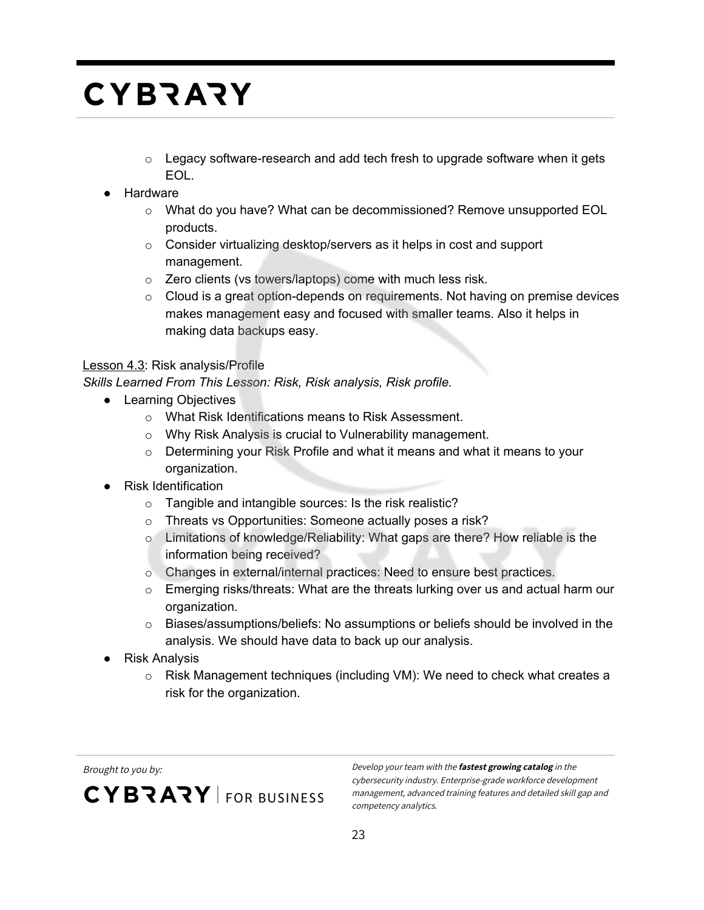- $\circ$  Legacy software-research and add tech fresh to upgrade software when it gets EOL.
- Hardware
	- $\circ$  What do you have? What can be decommissioned? Remove unsupported EOL products.
	- o Consider virtualizing desktop/servers as it helps in cost and support management.
	- o Zero clients (vs towers/laptops) come with much less risk.
	- $\circ$  Cloud is a great option-depends on requirements. Not having on premise devices makes management easy and focused with smaller teams. Also it helps in making data backups easy.

#### Lesson 4.3: Risk analysis/Profile

*Skills Learned From This Lesson: Risk, Risk analysis, Risk profile.*

- Learning Objectives
	- o What Risk Identifications means to Risk Assessment.
	- o Why Risk Analysis is crucial to Vulnerability management.
	- o Determining your Risk Profile and what it means and what it means to your organization.
- **Risk Identification** 
	- o Tangible and intangible sources: Is the risk realistic?
	- o Threats vs Opportunities: Someone actually poses a risk?
	- o Limitations of knowledge/Reliability: What gaps are there? How reliable is the information being received?
	- o Changes in external/internal practices: Need to ensure best practices.
	- o Emerging risks/threats: What are the threats lurking over us and actual harm our organization.
	- o Biases/assumptions/beliefs: No assumptions or beliefs should be involved in the analysis. We should have data to back up our analysis.
- Risk Analysis
	- o Risk Management techniques (including VM): We need to check what creates a risk for the organization.

CYBRARY FOR BUSINESS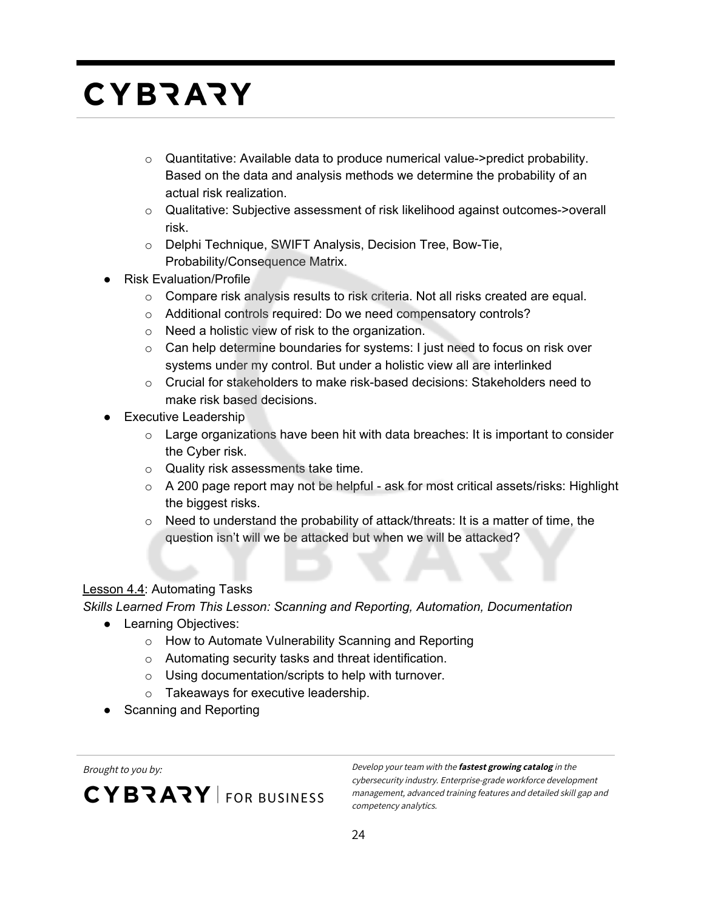- $\circ$  Quantitative: Available data to produce numerical value->predict probability. Based on the data and analysis methods we determine the probability of an actual risk realization.
- o Qualitative: Subjective assessment of risk likelihood against outcomes->overall risk.
- o Delphi Technique, SWIFT Analysis, Decision Tree, Bow-Tie, Probability/Consequence Matrix.
- **Risk Evaluation/Profile** 
	- $\circ$  Compare risk analysis results to risk criteria. Not all risks created are equal.
	- o Additional controls required: Do we need compensatory controls?
	- o Need a holistic view of risk to the organization.
	- $\circ$  Can help determine boundaries for systems: I just need to focus on risk over systems under my control. But under a holistic view all are interlinked
	- o Crucial for stakeholders to make risk-based decisions: Stakeholders need to make risk based decisions.
- **Executive Leadership** 
	- $\circ$  Large organizations have been hit with data breaches: It is important to consider the Cyber risk.
	- o Quality risk assessments take time.
	- o A 200 page report may not be helpful ask for most critical assets/risks: Highlight the biggest risks.
	- $\circ$  Need to understand the probability of attack/threats: It is a matter of time, the question isn't will we be attacked but when we will be attacked?

#### Lesson 4.4: Automating Tasks

*Skills Learned From This Lesson: Scanning and Reporting, Automation, Documentation*

- Learning Objectives:
	- o How to Automate Vulnerability Scanning and Reporting
	- o Automating security tasks and threat identification.
	- o Using documentation/scripts to help with turnover.
	- o Takeaways for executive leadership.
- Scanning and Reporting

CYBRARY FOR BUSINESS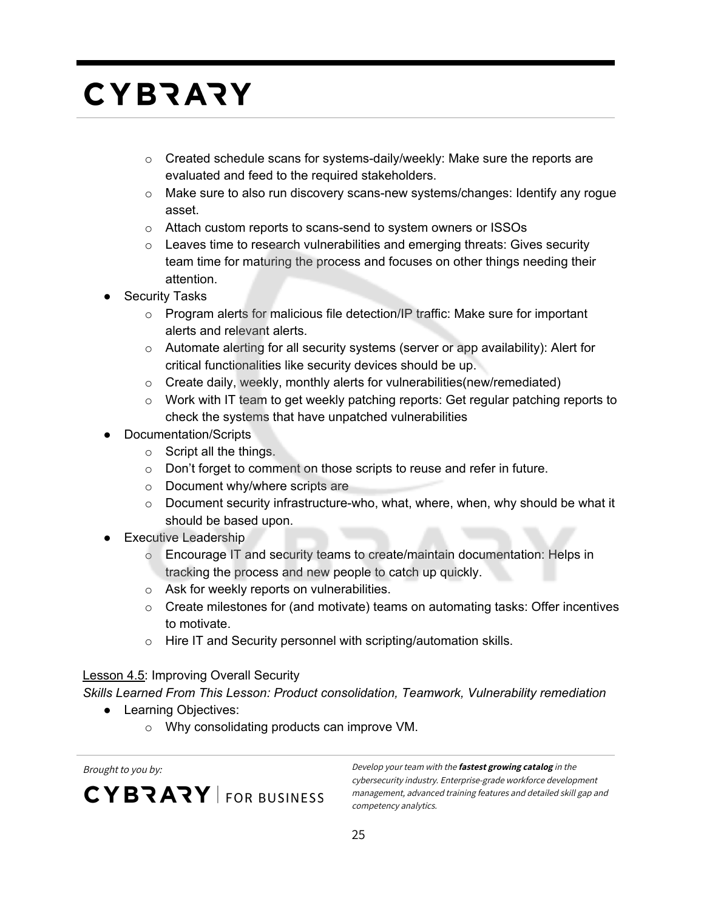- $\circ$  Created schedule scans for systems-daily/weekly: Make sure the reports are evaluated and feed to the required stakeholders.
- o Make sure to also run discovery scans-new systems/changes: Identify any rogue asset.
- o Attach custom reports to scans-send to system owners or ISSOs
- $\circ$  Leaves time to research vulnerabilities and emerging threats: Gives security team time for maturing the process and focuses on other things needing their attention.
- **Security Tasks** 
	- o Program alerts for malicious file detection/IP traffic: Make sure for important alerts and relevant alerts.
	- $\circ$  Automate alerting for all security systems (server or app availability): Alert for critical functionalities like security devices should be up.
	- $\circ$  Create daily, weekly, monthly alerts for vulnerabilities (new/remediated)
	- $\circ$  Work with IT team to get weekly patching reports: Get regular patching reports to check the systems that have unpatched vulnerabilities
- **Documentation/Scripts** 
	- o Script all the things.
	- o Don't forget to comment on those scripts to reuse and refer in future.
	- o Document why/where scripts are
	- $\circ$  Document security infrastructure-who, what, where, when, why should be what it should be based upon.
- **Executive Leadership** 
	- o Encourage IT and security teams to create/maintain documentation: Helps in tracking the process and new people to catch up quickly.
	- o Ask for weekly reports on vulnerabilities.
	- $\circ$  Create milestones for (and motivate) teams on automating tasks: Offer incentives to motivate.
	- o Hire IT and Security personnel with scripting/automation skills.

#### **Lesson 4.5: Improving Overall Security**

*Skills Learned From This Lesson: Product consolidation, Teamwork, Vulnerability remediation*

- Learning Objectives:
	- o Why consolidating products can improve VM.